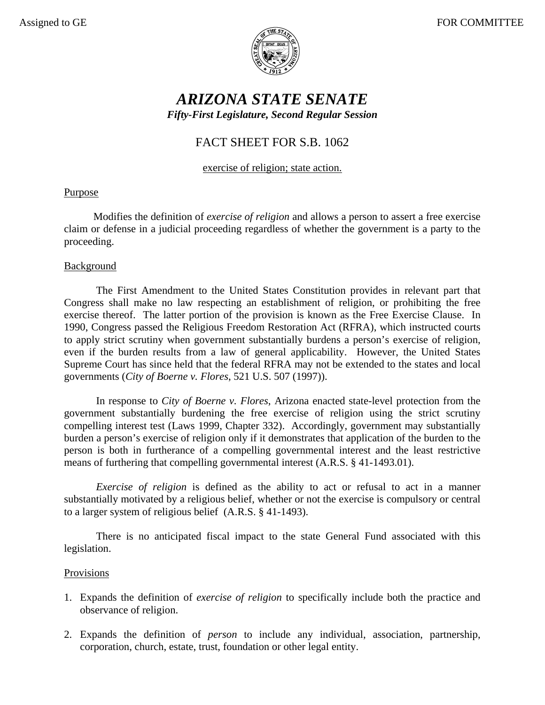

# *ARIZONA STATE SENATE Fifty-First Legislature, Second Regular Session*

## FACT SHEET FOR S.B. 1062

exercise of religion; state action.

## Purpose

 Modifies the definition of *exercise of religion* and allows a person to assert a free exercise claim or defense in a judicial proceeding regardless of whether the government is a party to the proceeding.

### **Background**

The First Amendment to the United States Constitution provides in relevant part that Congress shall make no law respecting an establishment of religion, or prohibiting the free exercise thereof. The latter portion of the provision is known as the Free Exercise Clause. In 1990, Congress passed the Religious Freedom Restoration Act (RFRA), which instructed courts to apply strict scrutiny when government substantially burdens a person's exercise of religion, even if the burden results from a law of general applicability. However, the United States Supreme Court has since held that the federal RFRA may not be extended to the states and local governments (*City of Boerne v. Flores*, 521 U.S. 507 (1997)).

In response to *City of Boerne v. Flores*, Arizona enacted state-level protection from the government substantially burdening the free exercise of religion using the strict scrutiny compelling interest test (Laws 1999, Chapter 332). Accordingly, government may substantially burden a person's exercise of religion only if it demonstrates that application of the burden to the person is both in furtherance of a compelling governmental interest and the least restrictive means of furthering that compelling governmental interest (A.R.S. § 41-1493.01).

*Exercise of religion* is defined as the ability to act or refusal to act in a manner substantially motivated by a religious belief, whether or not the exercise is compulsory or central to a larger system of religious belief (A.R.S. § 41-1493).

There is no anticipated fiscal impact to the state General Fund associated with this legislation.

### Provisions

- 1. Expands the definition of *exercise of religion* to specifically include both the practice and observance of religion.
- 2. Expands the definition of *person* to include any individual, association, partnership, corporation, church, estate, trust, foundation or other legal entity.